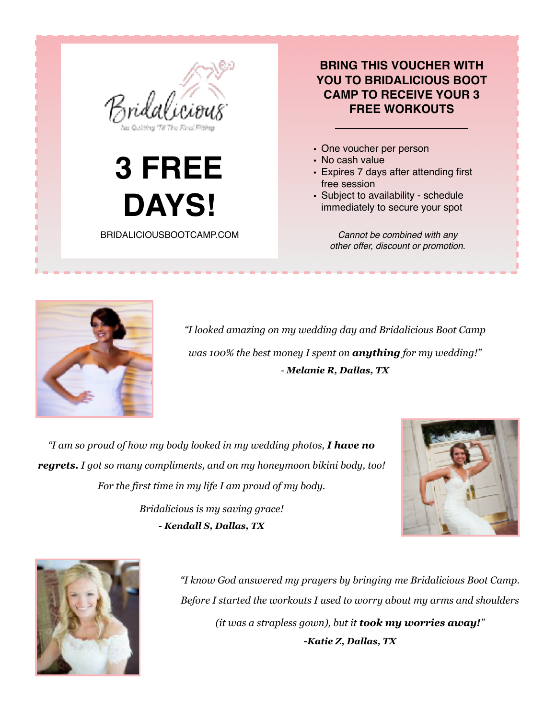

**3 FREE DAYS!**

BRIDALICIOUSBOOTCAMP.COM

## **BRING THIS VOUCHER WITH YOU TO BRIDALICIOUS BOOT CAMP TO RECEIVE YOUR 3 FREE WORKOUTS**

- One voucher per person
- No cash value
- Expires 7 days after attending first free session
- Subject to availability schedule immediately to secure your spot

*Cannot be combined with any other offer, discount or promotion.*



*"I looked amazing on my wedding day and Bridalicious Boot Camp was 100% the best money I spent on anything for my wedding!" - Melanie R, Dallas, TX*

*"I am so proud of how my body looked in my wedding photos, I have no regrets. I got so many compliments, and on my honeymoon bikini body, too! For the first time in my life I am proud of my body.* 

> *Bridalicious is my saving grace! - Kendall S, Dallas, TX*





*"I know God answered my prayers by bringing me Bridalicious Boot Camp. Before I started the workouts I used to worry about my arms and shoulders (it was a strapless gown), but it took my worries away!" -Katie Z, Dallas, TX*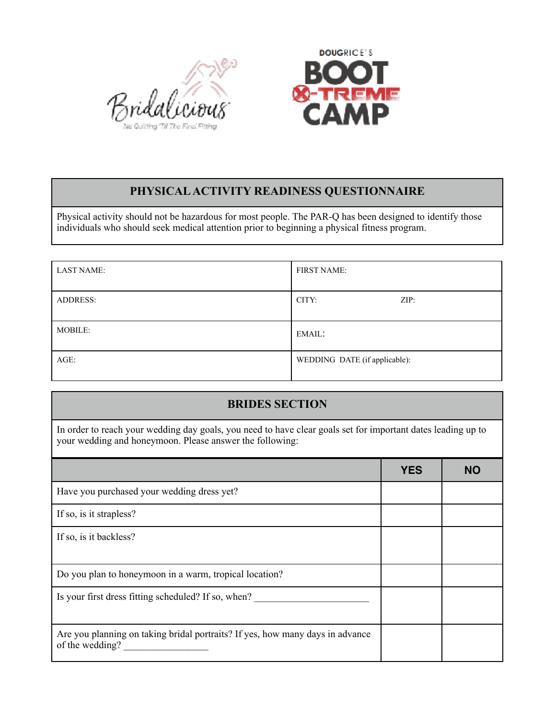



# **PHYSICAL ACTIVITY READINESS QUESTIONNAIRE**

Physical activity should not be hazardous for most people. The PAR-Q has been designed to identify those individuals who should seek medical attention prior to beginning a physical fitness program.

| <b>LAST NAME:</b> | <b>FIRST NAME:</b>            |
|-------------------|-------------------------------|
| <b>ADDRESS:</b>   | CITY:<br>ZIP:                 |
| MOBILE:           | EMAIL:                        |
| $AGE$ :           | WEDDING DATE (if applicable): |

## **BRIDES SECTION**

In order to reach your wedding day goals, you need to have clear goals set for important dates leading up to your wedding and honeymoon. Please answer the following:

|                                                                                                  | <b>YES</b> | NΟ |
|--------------------------------------------------------------------------------------------------|------------|----|
| Have you purchased your wedding dress yet?                                                       |            |    |
| If so, is it strapless?                                                                          |            |    |
| If so, is it backless?                                                                           |            |    |
| Do you plan to honeymoon in a warm, tropical location?                                           |            |    |
| Is your first dress fitting scheduled? If so, when?                                              |            |    |
| Are you planning on taking bridal portraits? If yes, how many days in advance<br>of the wedding? |            |    |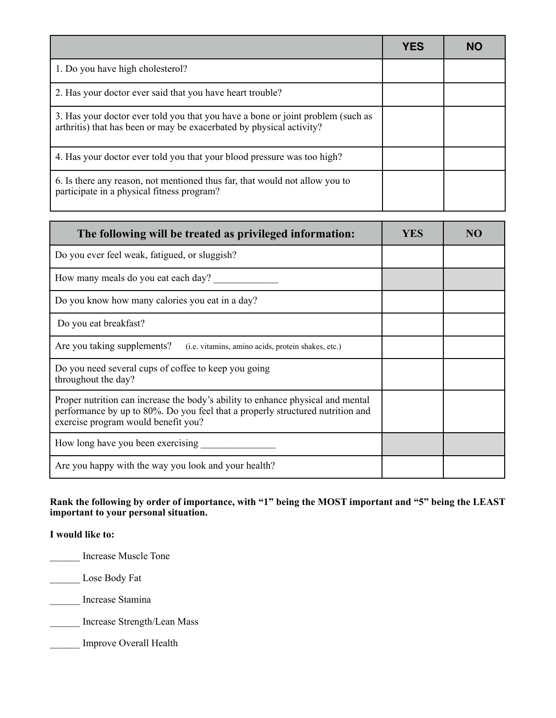|                                                                                                                                                         | <b>YES</b> | <b>NO</b> |
|---------------------------------------------------------------------------------------------------------------------------------------------------------|------------|-----------|
| 1. Do you have high cholesterol?                                                                                                                        |            |           |
| 2. Has your doctor ever said that you have heart trouble?                                                                                               |            |           |
| 3. Has your doctor ever told you that you have a bone or joint problem (such as<br>arthritis) that has been or may be exacerbated by physical activity? |            |           |
| 4. Has your doctor ever told you that your blood pressure was too high?                                                                                 |            |           |
| 6. Is there any reason, not mentioned thus far, that would not allow you to<br>participate in a physical fitness program?                               |            |           |

| The following will be treated as privileged information:                                                                                                                                                 | YES | NO |
|----------------------------------------------------------------------------------------------------------------------------------------------------------------------------------------------------------|-----|----|
| Do you ever feel weak, fatigued, or sluggish?                                                                                                                                                            |     |    |
| How many meals do you eat each day?                                                                                                                                                                      |     |    |
| Do you know how many calories you eat in a day?                                                                                                                                                          |     |    |
| Do you eat breakfast?                                                                                                                                                                                    |     |    |
| Are you taking supplements?<br>(i.e. vitamins, amino acids, protein shakes, etc.)                                                                                                                        |     |    |
| Do you need several cups of coffee to keep you going<br>throughout the day?                                                                                                                              |     |    |
| Proper nutrition can increase the body's ability to enhance physical and mental<br>performance by up to 80%. Do you feel that a properly structured nutrition and<br>exercise program would benefit you? |     |    |
| How long have you been exercising                                                                                                                                                                        |     |    |
| Are you happy with the way you look and your health?                                                                                                                                                     |     |    |

#### **Rank the following by order of importance, with "1" being the MOST important and "5" being the LEAST important to your personal situation.**

### **I would like to:**

- \_\_\_\_\_\_ Increase Muscle Tone
- \_\_\_\_\_\_ Lose Body Fat
- \_\_\_\_\_\_ Increase Stamina
- \_\_\_\_\_\_ Increase Strength/Lean Mass
- \_\_\_\_\_\_ Improve Overall Health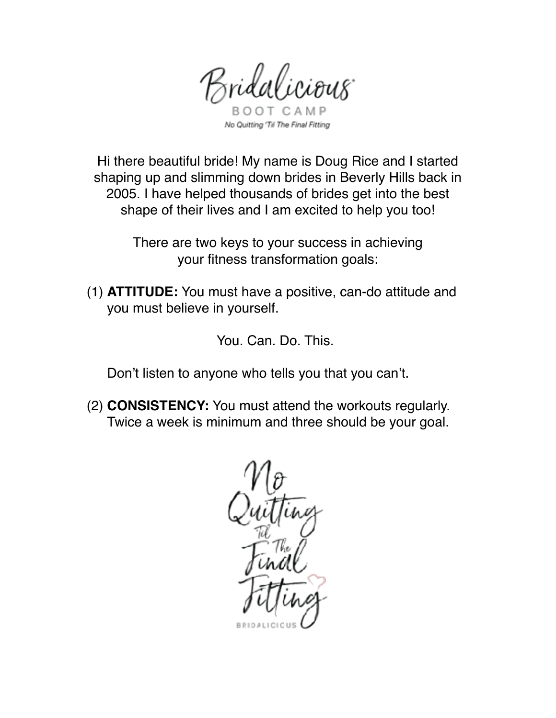Vo Quitting 'Til The Final Fitting

Hi there beautiful bride! My name is Doug Rice and I started shaping up and slimming down brides in Beverly Hills back in 2005. I have helped thousands of brides get into the best shape of their lives and I am excited to help you too!

> There are two keys to your success in achieving your fitness transformation goals:

(1) **ATTITUDE:** You must have a positive, can-do attitude and you must believe in yourself.

You. Can. Do. This.

Don't listen to anyone who tells you that you can't.

(2) **CONSISTENCY:** You must attend the workouts regularly. Twice a week is minimum and three should be your goal.